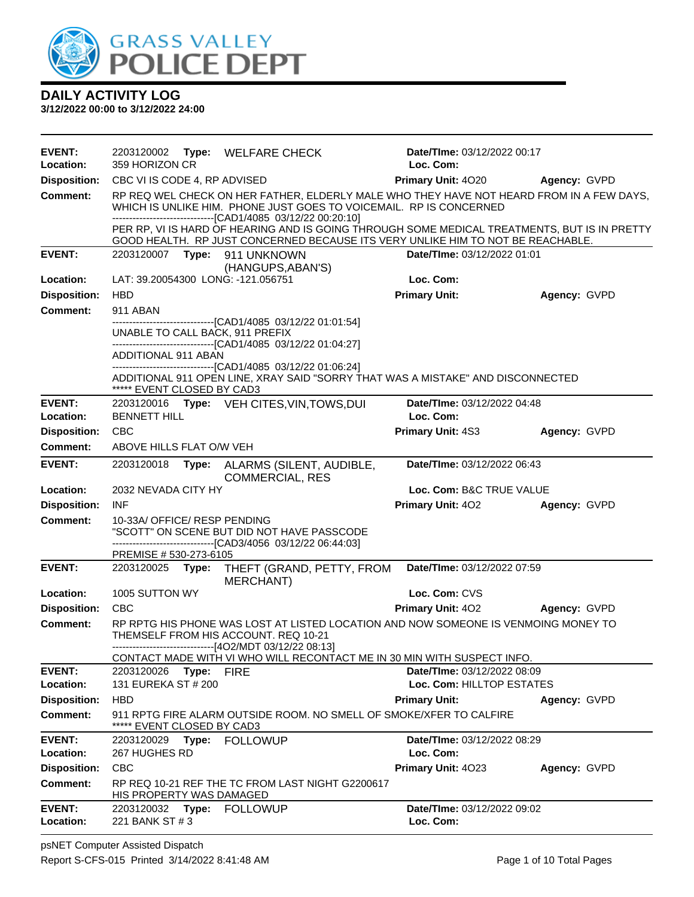

| <b>EVENT:</b>                          |                              |       | 2203120002 Type: WELFARE CHECK                                                                                                                                                                                                 | Date/TIme: 03/12/2022 00:17 |              |
|----------------------------------------|------------------------------|-------|--------------------------------------------------------------------------------------------------------------------------------------------------------------------------------------------------------------------------------|-----------------------------|--------------|
| Location:                              | 359 HORIZON CR               |       |                                                                                                                                                                                                                                | Loc. Com:                   |              |
| <b>Disposition:</b>                    | CBC VI IS CODE 4, RP ADVISED |       |                                                                                                                                                                                                                                | <b>Primary Unit: 4020</b>   | Agency: GVPD |
| <b>Comment:</b>                        |                              |       | RP REQ WEL CHECK ON HER FATHER, ELDERLY MALE WHO THEY HAVE NOT HEARD FROM IN A FEW DAYS,<br>WHICH IS UNLIKE HIM. PHONE JUST GOES TO VOICEMAIL. RP IS CONCERNED<br>-------------------------------[CAD1/4085 03/12/22 00:20:10] |                             |              |
|                                        |                              |       | PER RP, VI IS HARD OF HEARING AND IS GOING THROUGH SOME MEDICAL TREATMENTS, BUT IS IN PRETTY<br>GOOD HEALTH. RP JUST CONCERNED BECAUSE ITS VERY UNLIKE HIM TO NOT BE REACHABLE.                                                |                             |              |
| <b>EVENT:</b>                          |                              |       | 2203120007    Type: 911    UNKNOWN                                                                                                                                                                                             | Date/TIme: 03/12/2022 01:01 |              |
| Location:                              |                              |       | (HANGUPS, ABAN'S)<br>LAT: 39.20054300 LONG: -121.056751                                                                                                                                                                        | Loc. Com:                   |              |
| <b>Disposition:</b>                    | <b>HBD</b>                   |       |                                                                                                                                                                                                                                | <b>Primary Unit:</b>        | Agency: GVPD |
| <b>Comment:</b>                        | 911 ABAN                     |       |                                                                                                                                                                                                                                |                             |              |
|                                        |                              |       | ------------------------[CAD1/4085_03/12/22_01:01:54]<br>UNABLE TO CALL BACK, 911 PREFIX                                                                                                                                       |                             |              |
|                                        |                              |       | -------------------------------[CAD1/4085 03/12/22 01:04:27]                                                                                                                                                                   |                             |              |
|                                        | ADDITIONAL 911 ABAN          |       | ----------------------------------[CAD1/4085 03/12/22 01:06:24]                                                                                                                                                                |                             |              |
|                                        | ***** EVENT CLOSED BY CAD3   |       | ADDITIONAL 911 OPEN LINE, XRAY SAID "SORRY THAT WAS A MISTAKE" AND DISCONNECTED                                                                                                                                                |                             |              |
| <b>EVENT:</b>                          |                              |       | 2203120016 Type: VEH CITES, VIN, TOWS, DUI                                                                                                                                                                                     | Date/TIme: 03/12/2022 04:48 |              |
| Location:                              | <b>BENNETT HILL</b>          |       |                                                                                                                                                                                                                                | Loc. Com:                   |              |
| <b>Disposition:</b>                    | <b>CBC</b>                   |       |                                                                                                                                                                                                                                | Primary Unit: 4S3           | Agency: GVPD |
| <b>Comment:</b>                        | ABOVE HILLS FLAT O/W VEH     |       |                                                                                                                                                                                                                                |                             |              |
| <b>EVENT:</b>                          | 2203120018                   | Type: | ALARMS (SILENT, AUDIBLE,<br><b>COMMERCIAL, RES</b>                                                                                                                                                                             | Date/TIme: 03/12/2022 06:43 |              |
| Location:                              | 2032 NEVADA CITY HY          |       |                                                                                                                                                                                                                                | Loc. Com: B&C TRUE VALUE    |              |
| <b>Disposition:</b>                    | <b>INF</b>                   |       |                                                                                                                                                                                                                                | <b>Primary Unit: 402</b>    | Agency: GVPD |
| <b>Comment:</b>                        | 10-33A/ OFFICE/ RESP PENDING |       | "SCOTT" ON SCENE BUT DID NOT HAVE PASSCODE                                                                                                                                                                                     |                             |              |
|                                        | PREMISE # 530-273-6105       |       | -------------------------------[CAD3/4056 03/12/22 06:44:03]                                                                                                                                                                   |                             |              |
| <b>EVENT:</b>                          | 2203120025 Type:             |       | THEFT (GRAND, PETTY, FROM<br><b>MERCHANT)</b>                                                                                                                                                                                  | Date/TIme: 03/12/2022 07:59 |              |
| Location:                              | 1005 SUTTON WY               |       |                                                                                                                                                                                                                                | Loc. Com: CVS               |              |
| <b>Disposition:</b>                    | <b>CBC</b>                   |       |                                                                                                                                                                                                                                | Primary Unit: 402           | Agency: GVPD |
| <b>Comment:</b>                        |                              |       | RP RPTG HIS PHONE WAS LOST AT LISTED LOCATION AND NOW SOMEONE IS VENMOING MONEY TO<br>THEMSELF FROM HIS ACCOUNT. REQ 10-21<br>---------------------------------[4O2/MDT 03/12/22 08:13]                                        |                             |              |
|                                        |                              |       | CONTACT MADE WITH VI WHO WILL RECONTACT ME IN 30 MIN WITH SUSPECT INFO.                                                                                                                                                        |                             |              |
| <b>EVENT:</b>                          | 2203120026                   | Type: | <b>FIRE</b>                                                                                                                                                                                                                    | Date/TIme: 03/12/2022 08:09 |              |
| Location:                              | 131 EUREKA ST # 200          |       |                                                                                                                                                                                                                                | Loc. Com: HILLTOP ESTATES   |              |
| <b>Disposition:</b><br><b>Comment:</b> | <b>HBD</b>                   |       | 911 RPTG FIRE ALARM OUTSIDE ROOM. NO SMELL OF SMOKE/XFER TO CALFIRE                                                                                                                                                            | <b>Primary Unit:</b>        | Agency: GVPD |
|                                        | ***** EVENT CLOSED BY CAD3   |       |                                                                                                                                                                                                                                |                             |              |
| <b>EVENT:</b>                          | 2203120029 Type:             |       | <b>FOLLOWUP</b>                                                                                                                                                                                                                | Date/TIme: 03/12/2022 08:29 |              |
| Location:                              | 267 HUGHES RD                |       |                                                                                                                                                                                                                                | Loc. Com:                   |              |
| <b>Disposition:</b>                    | <b>CBC</b>                   |       |                                                                                                                                                                                                                                | Primary Unit: 4023          | Agency: GVPD |
| <b>Comment:</b>                        | HIS PROPERTY WAS DAMAGED     |       | RP REQ 10-21 REF THE TC FROM LAST NIGHT G2200617                                                                                                                                                                               |                             |              |
| <b>EVENT:</b>                          | 2203120032 Type:             |       | <b>FOLLOWUP</b>                                                                                                                                                                                                                | Date/TIme: 03/12/2022 09:02 |              |
| Location:                              | 221 BANK ST # 3              |       |                                                                                                                                                                                                                                | Loc. Com:                   |              |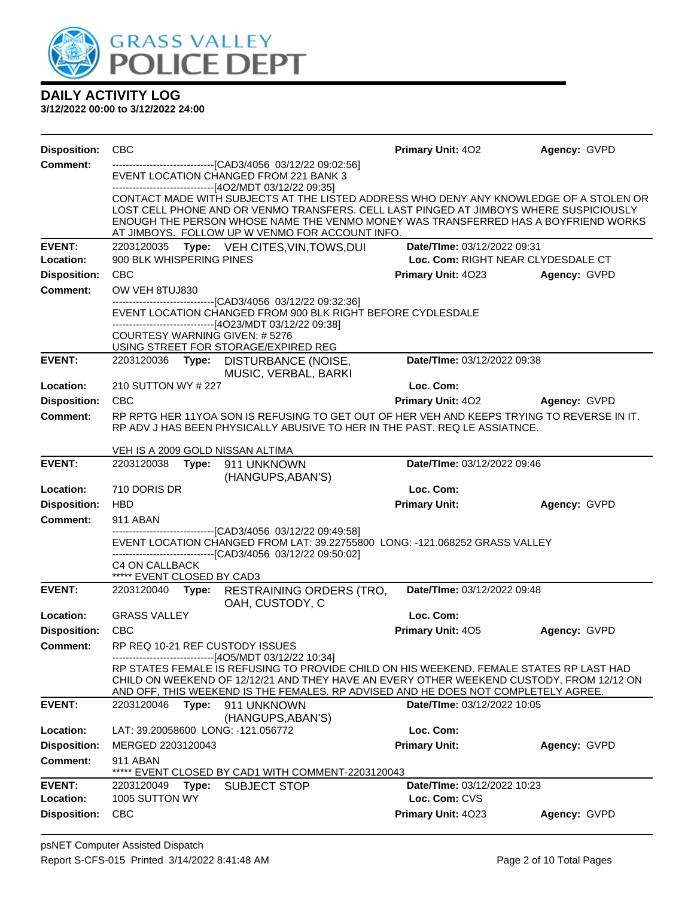

| <b>Disposition:</b> | <b>CBC</b>                                          |       |                                                                                                                                                                                                                                                                                                                           | Primary Unit: 402           | Agency: GVPD                       |
|---------------------|-----------------------------------------------------|-------|---------------------------------------------------------------------------------------------------------------------------------------------------------------------------------------------------------------------------------------------------------------------------------------------------------------------------|-----------------------------|------------------------------------|
| Comment:            |                                                     |       | ------------------------------[CAD3/4056 03/12/22 09:02:56]<br>EVENT LOCATION CHANGED FROM 221 BANK 3<br>--------------------------[4O2/MDT 03/12/22 09:35]                                                                                                                                                               |                             |                                    |
|                     |                                                     |       | CONTACT MADE WITH SUBJECTS AT THE LISTED ADDRESS WHO DENY ANY KNOWLEDGE OF A STOLEN OR<br>LOST CELL PHONE AND OR VENMO TRANSFERS. CELL LAST PINGED AT JIMBOYS WHERE SUSPICIOUSLY<br>ENOUGH THE PERSON WHOSE NAME THE VENMO MONEY WAS TRANSFERRED HAS A BOYFRIEND WORKS<br>AT JIMBOYS. FOLLOW UP W VENMO FOR ACCOUNT INFO. |                             |                                    |
| <b>EVENT:</b>       | 2203120035                                          |       | Type: VEH CITES, VIN, TOWS, DUI                                                                                                                                                                                                                                                                                           | Date/TIme: 03/12/2022 09:31 |                                    |
| Location:           | 900 BLK WHISPERING PINES                            |       |                                                                                                                                                                                                                                                                                                                           |                             | Loc. Com: RIGHT NEAR CLYDESDALE CT |
| <b>Disposition:</b> | <b>CBC</b>                                          |       |                                                                                                                                                                                                                                                                                                                           | Primary Unit: 4023          | Agency: GVPD                       |
| <b>Comment:</b>     | OW VEH 8TUJ830                                      |       | --------------------------------[CAD3/4056 03/12/22 09:32:36]                                                                                                                                                                                                                                                             |                             |                                    |
|                     |                                                     |       | EVENT LOCATION CHANGED FROM 900 BLK RIGHT BEFORE CYDLESDALE<br>-------------------------------[4O23/MDT 03/12/22 09:38]                                                                                                                                                                                                   |                             |                                    |
|                     |                                                     |       | <b>COURTESY WARNING GIVEN: # 5276</b><br>USING STREET FOR STORAGE/EXPIRED REG                                                                                                                                                                                                                                             |                             |                                    |
| <b>EVENT:</b>       | 2203120036                                          |       | Type: DISTURBANCE (NOISE,<br>MUSIC, VERBAL, BARKI                                                                                                                                                                                                                                                                         | Date/TIme: 03/12/2022 09:38 |                                    |
| Location:           | 210 SUTTON WY # 227                                 |       |                                                                                                                                                                                                                                                                                                                           | Loc. Com:                   |                                    |
| <b>Disposition:</b> | <b>CBC</b>                                          |       |                                                                                                                                                                                                                                                                                                                           | <b>Primary Unit: 402</b>    | Agency: GVPD                       |
| <b>Comment:</b>     |                                                     |       | RP RPTG HER 11YOA SON IS REFUSING TO GET OUT OF HER VEH AND KEEPS TRYING TO REVERSE IN IT.<br>RP ADV J HAS BEEN PHYSICALLY ABUSIVE TO HER IN THE PAST. REQ LE ASSIATNCE.                                                                                                                                                  |                             |                                    |
|                     |                                                     |       | VEH IS A 2009 GOLD NISSAN ALTIMA                                                                                                                                                                                                                                                                                          |                             |                                    |
| <b>EVENT:</b>       | 2203120038                                          |       | Type: 911 UNKNOWN<br>(HANGUPS, ABAN'S)                                                                                                                                                                                                                                                                                    | Date/TIme: 03/12/2022 09:46 |                                    |
| Location:           | 710 DORIS DR                                        |       |                                                                                                                                                                                                                                                                                                                           | Loc. Com:                   |                                    |
| <b>Disposition:</b> | <b>HBD</b>                                          |       |                                                                                                                                                                                                                                                                                                                           | <b>Primary Unit:</b>        | Agency: GVPD                       |
| <b>Comment:</b>     | 911 ABAN                                            |       |                                                                                                                                                                                                                                                                                                                           |                             |                                    |
|                     |                                                     |       | --------------------------[CAD3/4056_03/12/22_09:49:58]<br>EVENT LOCATION CHANGED FROM LAT: 39.22755800 LONG: -121.068252 GRASS VALLEY                                                                                                                                                                                    |                             |                                    |
|                     |                                                     |       | -------------------------------[CAD3/4056_03/12/22_09:50:02]                                                                                                                                                                                                                                                              |                             |                                    |
|                     | <b>C4 ON CALLBACK</b><br>***** EVENT CLOSED BY CAD3 |       |                                                                                                                                                                                                                                                                                                                           |                             |                                    |
| <b>EVENT:</b>       | 2203120040                                          | Type: | RESTRAINING ORDERS (TRO,<br>OAH, CUSTODY, C                                                                                                                                                                                                                                                                               | Date/TIme: 03/12/2022 09:48 |                                    |
| Location:           | <b>GRASS VALLEY</b>                                 |       |                                                                                                                                                                                                                                                                                                                           | Loc. Com:                   |                                    |
| <b>Disposition:</b> | <b>CBC</b>                                          |       |                                                                                                                                                                                                                                                                                                                           | Primary Unit: 405           | Agency: GVPD                       |
| Comment:            |                                                     |       | RP REQ 10-21 REF CUSTODY ISSUES                                                                                                                                                                                                                                                                                           |                             |                                    |
|                     |                                                     |       | -------------------------------[4O5/MDT 03/12/22 10:34]<br>RP STATES FEMALE IS REFUSING TO PROVIDE CHILD ON HIS WEEKEND. FEMALE STATES RP LAST HAD<br>CHILD ON WEEKEND OF 12/12/21 AND THEY HAVE AN EVERY OTHER WEEKEND CUSTODY. FROM 12/12 ON                                                                            |                             |                                    |
| <b>EVENT:</b>       | 2203120046                                          | Type: | AND OFF, THIS WEEKEND IS THE FEMALES. RP ADVISED AND HE DOES NOT COMPLETELY AGREE.<br>911 UNKNOWN                                                                                                                                                                                                                         | Date/TIme: 03/12/2022 10:05 |                                    |
|                     |                                                     |       | (HANGUPS, ABAN'S)                                                                                                                                                                                                                                                                                                         |                             |                                    |
| Location:           |                                                     |       | LAT: 39.20058600 LONG: -121.056772                                                                                                                                                                                                                                                                                        | Loc. Com:                   |                                    |
| <b>Disposition:</b> | MERGED 2203120043                                   |       |                                                                                                                                                                                                                                                                                                                           | <b>Primary Unit:</b>        | Agency: GVPD                       |
| <b>Comment:</b>     | 911 ABAN<br>*****                                   |       | EVENT CLOSED BY CAD1 WITH COMMENT-2203120043                                                                                                                                                                                                                                                                              |                             |                                    |
| <b>EVENT:</b>       | 2203120049                                          | Type: | <b>SUBJECT STOP</b>                                                                                                                                                                                                                                                                                                       | Date/TIme: 03/12/2022 10:23 |                                    |
| Location:           | 1005 SUTTON WY                                      |       |                                                                                                                                                                                                                                                                                                                           | Loc. Com: CVS               |                                    |
| <b>Disposition:</b> | <b>CBC</b>                                          |       |                                                                                                                                                                                                                                                                                                                           | Primary Unit: 4023          | Agency: GVPD                       |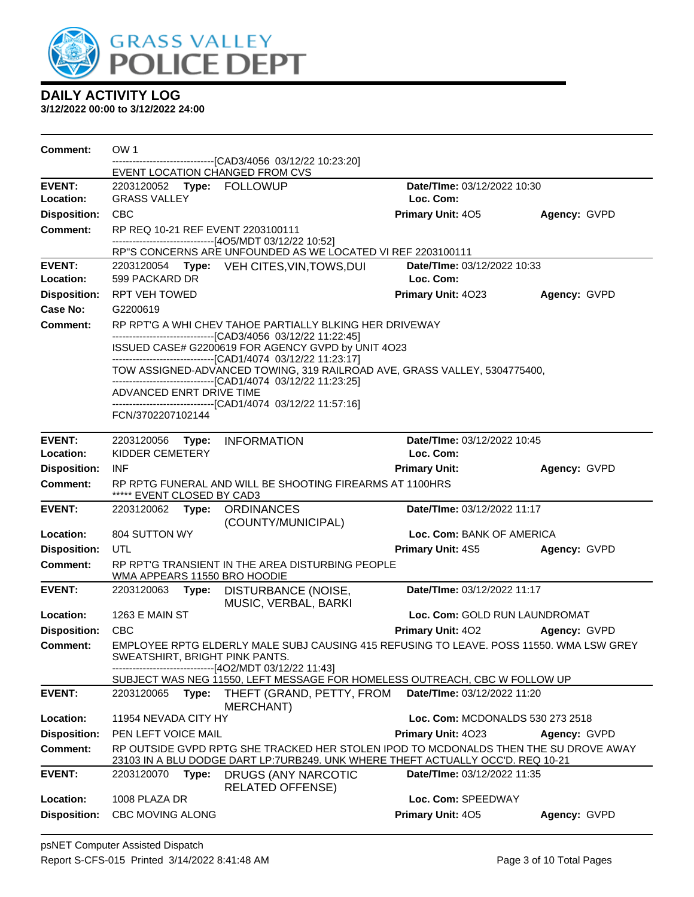

| <b>Comment:</b>            | OW 1                                                                                                                                      |       | -----------------[CAD3/4056 03/12/22 10:23:20]                                                                                                                          |                                          |              |  |
|----------------------------|-------------------------------------------------------------------------------------------------------------------------------------------|-------|-------------------------------------------------------------------------------------------------------------------------------------------------------------------------|------------------------------------------|--------------|--|
| <b>EVENT:</b>              |                                                                                                                                           |       | EVENT LOCATION CHANGED FROM CVS                                                                                                                                         | Date/TIme: 03/12/2022 10:30              |              |  |
| Location:                  | <b>GRASS VALLEY</b>                                                                                                                       |       | 2203120052 Type: FOLLOWUP                                                                                                                                               | Loc. Com:                                |              |  |
| <b>Disposition:</b>        | <b>CBC</b>                                                                                                                                |       |                                                                                                                                                                         | Primary Unit: 405                        | Agency: GVPD |  |
| <b>Comment:</b>            |                                                                                                                                           |       | RP REQ 10-21 REF EVENT 2203100111                                                                                                                                       |                                          |              |  |
|                            |                                                                                                                                           |       | ------------------------------[4O5/MDT 03/12/22 10:52]                                                                                                                  |                                          |              |  |
|                            |                                                                                                                                           |       | RP"S CONCERNS ARE UNFOUNDED AS WE LOCATED VI REF 2203100111                                                                                                             |                                          |              |  |
| <b>EVENT:</b><br>Location: | 599 PACKARD DR                                                                                                                            |       | 2203120054 Type: VEH CITES, VIN, TOWS, DUI                                                                                                                              | Date/TIme: 03/12/2022 10:33<br>Loc. Com: |              |  |
| <b>Disposition:</b>        | <b>RPT VEH TOWED</b>                                                                                                                      |       |                                                                                                                                                                         | Primary Unit: 4023                       | Agency: GVPD |  |
| Case No:                   | G2200619                                                                                                                                  |       |                                                                                                                                                                         |                                          |              |  |
| <b>Comment:</b>            |                                                                                                                                           |       | RP RPT'G A WHI CHEV TAHOE PARTIALLY BLKING HER DRIVEWAY                                                                                                                 |                                          |              |  |
|                            |                                                                                                                                           |       | -------------------------------[CAD3/4056_03/12/22 11:22:45]                                                                                                            |                                          |              |  |
|                            | ISSUED CASE# G2200619 FOR AGENCY GVPD by UNIT 4O23                                                                                        |       |                                                                                                                                                                         |                                          |              |  |
|                            |                                                                                                                                           |       | -------------------------------[CAD1/4074_03/12/22 11:23:17]                                                                                                            |                                          |              |  |
|                            | TOW ASSIGNED-ADVANCED TOWING, 319 RAILROAD AVE, GRASS VALLEY, 5304775400,<br>-------------------------------[CAD1/4074_03/12/22_11:23:25] |       |                                                                                                                                                                         |                                          |              |  |
|                            | ADVANCED ENRT DRIVE TIME                                                                                                                  |       |                                                                                                                                                                         |                                          |              |  |
|                            | FCN/3702207102144                                                                                                                         |       | -------------------------------[CAD1/4074_03/12/22 11:57:16]                                                                                                            |                                          |              |  |
|                            |                                                                                                                                           |       |                                                                                                                                                                         |                                          |              |  |
| <b>EVENT:</b>              | 2203120056 Type:                                                                                                                          |       | INFORMATION                                                                                                                                                             | Date/TIme: 03/12/2022 10:45              |              |  |
| Location:                  | KIDDER CEMETERY                                                                                                                           |       |                                                                                                                                                                         | Loc. Com:                                |              |  |
| <b>Disposition:</b>        | <b>INF</b>                                                                                                                                |       |                                                                                                                                                                         | <b>Primary Unit:</b>                     | Agency: GVPD |  |
| <b>Comment:</b>            | ***** EVENT CLOSED BY CAD3                                                                                                                |       | RP RPTG FUNERAL AND WILL BE SHOOTING FIREARMS AT 1100HRS                                                                                                                |                                          |              |  |
| <b>EVENT:</b>              |                                                                                                                                           |       | 2203120062 Type: ORDINANCES                                                                                                                                             | Date/TIme: 03/12/2022 11:17              |              |  |
|                            |                                                                                                                                           |       | (COUNTY/MUNICIPAL)                                                                                                                                                      |                                          |              |  |
| Location:                  | 804 SUTTON WY                                                                                                                             |       |                                                                                                                                                                         | Loc. Com: BANK OF AMERICA                |              |  |
| <b>Disposition:</b>        | UTL                                                                                                                                       |       |                                                                                                                                                                         | <b>Primary Unit: 4S5</b>                 | Agency: GVPD |  |
| <b>Comment:</b>            |                                                                                                                                           |       | RP RPT'G TRANSIENT IN THE AREA DISTURBING PEOPLE<br>WMA APPEARS 11550 BRO HOODIE                                                                                        |                                          |              |  |
| <b>EVENT:</b>              | 2203120063                                                                                                                                | Type: | DISTURBANCE (NOISE,<br>MUSIC, VERBAL, BARKI                                                                                                                             | Date/TIme: 03/12/2022 11:17              |              |  |
| Location:                  | 1263 E MAIN ST                                                                                                                            |       |                                                                                                                                                                         | Loc. Com: GOLD RUN LAUNDROMAT            |              |  |
| <b>Disposition:</b>        | <b>CBC</b>                                                                                                                                |       |                                                                                                                                                                         | <b>Primary Unit: 402</b>                 | Agency: GVPD |  |
| <b>Comment:</b>            |                                                                                                                                           |       | EMPLOYEE RPTG ELDERLY MALE SUBJ CAUSING 415 REFUSING TO LEAVE. POSS 11550. WMA LSW GREY                                                                                 |                                          |              |  |
|                            |                                                                                                                                           |       | SWEATSHIRT, BRIGHT PINK PANTS.<br>-----------------[4O2/MDT 03/12/22 11:43]                                                                                             |                                          |              |  |
|                            |                                                                                                                                           |       | SUBJECT WAS NEG 11550, LEFT MESSAGE FOR HOMELESS OUTREACH, CBC W FOLLOW UP                                                                                              |                                          |              |  |
| <b>EVENT:</b>              | 2203120065                                                                                                                                | Type: | THEFT (GRAND, PETTY, FROM                                                                                                                                               | Date/TIme: 03/12/2022 11:20              |              |  |
|                            |                                                                                                                                           |       | MERCHANT)                                                                                                                                                               |                                          |              |  |
| Location:                  | 11954 NEVADA CITY HY                                                                                                                      |       |                                                                                                                                                                         | Loc. Com: MCDONALDS 530 273 2518         |              |  |
| <b>Disposition:</b>        | PEN LEFT VOICE MAIL                                                                                                                       |       |                                                                                                                                                                         | Primary Unit: 4023                       | Agency: GVPD |  |
| Comment:                   |                                                                                                                                           |       | RP OUTSIDE GVPD RPTG SHE TRACKED HER STOLEN IPOD TO MCDONALDS THEN THE SU DROVE AWAY<br>23103 IN A BLU DODGE DART LP:7URB249. UNK WHERE THEFT ACTUALLY OCC'D. REQ 10-21 |                                          |              |  |
| <b>EVENT:</b>              | 2203120070                                                                                                                                | Type: | <b>DRUGS (ANY NARCOTIC</b>                                                                                                                                              | Date/TIme: 03/12/2022 11:35              |              |  |
|                            |                                                                                                                                           |       | <b>RELATED OFFENSE)</b>                                                                                                                                                 |                                          |              |  |
| Location:                  | 1008 PLAZA DR                                                                                                                             |       |                                                                                                                                                                         | Loc. Com: SPEEDWAY                       |              |  |
| <b>Disposition:</b>        | <b>CBC MOVING ALONG</b>                                                                                                                   |       |                                                                                                                                                                         | Primary Unit: 405                        | Agency: GVPD |  |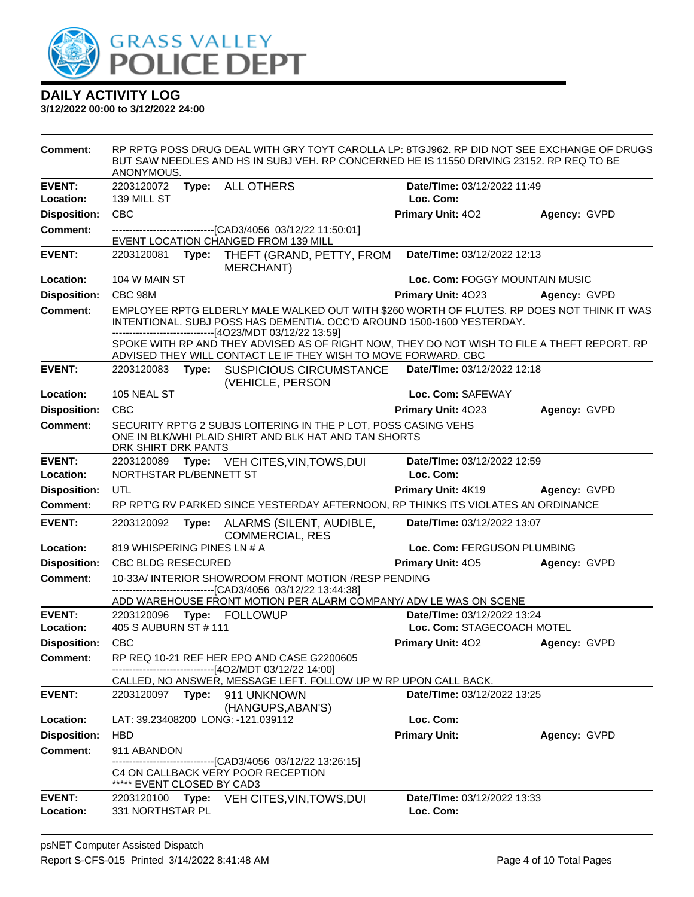

| <b>Comment:</b>            | ANONYMOUS.                  |       | RP RPTG POSS DRUG DEAL WITH GRY TOYT CAROLLA LP: 8TGJ962. RP DID NOT SEE EXCHANGE OF DRUGS<br>BUT SAW NEEDLES AND HS IN SUBJ VEH. RP CONCERNED HE IS 11550 DRIVING 23152. RP REQ TO BE                                                                                                                                         |                                                           |              |
|----------------------------|-----------------------------|-------|--------------------------------------------------------------------------------------------------------------------------------------------------------------------------------------------------------------------------------------------------------------------------------------------------------------------------------|-----------------------------------------------------------|--------------|
| <b>EVENT:</b>              | 2203120072                  |       | Type: ALL OTHERS                                                                                                                                                                                                                                                                                                               | Date/TIme: 03/12/2022 11:49                               |              |
| Location:                  | 139 MILL ST                 |       |                                                                                                                                                                                                                                                                                                                                | Loc. Com:                                                 |              |
| <b>Disposition:</b>        | CBC                         |       |                                                                                                                                                                                                                                                                                                                                | Primary Unit: 402                                         | Agency: GVPD |
| <b>Comment:</b>            |                             |       | --------------------------[CAD3/4056_03/12/22 11:50:01]<br>EVENT LOCATION CHANGED FROM 139 MILL                                                                                                                                                                                                                                |                                                           |              |
| <b>EVENT:</b>              |                             |       | 2203120081 Type: THEFT (GRAND, PETTY, FROM<br><b>MERCHANT)</b>                                                                                                                                                                                                                                                                 | Date/TIme: 03/12/2022 12:13                               |              |
| Location:                  | 104 W MAIN ST               |       |                                                                                                                                                                                                                                                                                                                                | Loc. Com: FOGGY MOUNTAIN MUSIC                            |              |
| <b>Disposition:</b>        | CBC 98M                     |       |                                                                                                                                                                                                                                                                                                                                | Primary Unit: 4023                                        | Agency: GVPD |
| <b>Comment:</b>            |                             |       | EMPLOYEE RPTG ELDERLY MALE WALKED OUT WITH \$260 WORTH OF FLUTES. RP DOES NOT THINK IT WAS<br>INTENTIONAL. SUBJ POSS HAS DEMENTIA. OCC'D AROUND 1500-1600 YESTERDAY.<br>------------------------------[4O23/MDT 03/12/22 13:59]<br>SPOKE WITH RP AND THEY ADVISED AS OF RIGHT NOW, THEY DO NOT WISH TO FILE A THEFT REPORT. RP |                                                           |              |
|                            |                             |       | ADVISED THEY WILL CONTACT LE IF THEY WISH TO MOVE FORWARD. CBC                                                                                                                                                                                                                                                                 |                                                           |              |
| <b>EVENT:</b>              |                             |       | 2203120083 Type: SUSPICIOUS CIRCUMSTANCE<br>(VEHICLE, PERSON                                                                                                                                                                                                                                                                   | Date/TIme: 03/12/2022 12:18                               |              |
| Location:                  | 105 NEAL ST                 |       |                                                                                                                                                                                                                                                                                                                                | Loc. Com: SAFEWAY                                         |              |
| <b>Disposition:</b>        | CBC                         |       |                                                                                                                                                                                                                                                                                                                                | Primary Unit: 4023                                        | Agency: GVPD |
| Comment:                   | DRK SHIRT DRK PANTS         |       | SECURITY RPT'G 2 SUBJS LOITERING IN THE P LOT, POSS CASING VEHS<br>ONE IN BLK/WHI PLAID SHIRT AND BLK HAT AND TAN SHORTS                                                                                                                                                                                                       |                                                           |              |
| <b>EVENT:</b>              |                             |       | 2203120089 Type: VEH CITES, VIN, TOWS, DUI                                                                                                                                                                                                                                                                                     | Date/TIme: 03/12/2022 12:59                               |              |
| Location:                  | NORTHSTAR PL/BENNETT ST     |       |                                                                                                                                                                                                                                                                                                                                | Loc. Com:                                                 |              |
| <b>Disposition:</b>        | UTL                         |       |                                                                                                                                                                                                                                                                                                                                | Primary Unit: 4K19                                        | Agency: GVPD |
| <b>Comment:</b>            |                             |       | RP RPTG RV PARKED SINCE YESTERDAY AFTERNOON, RP THINKS ITS VIOLATES AN ORDINANCE                                                                                                                                                                                                                                               |                                                           |              |
| <b>EVENT:</b>              | 2203120092                  | Type: | ALARMS (SILENT, AUDIBLE,<br><b>COMMERCIAL, RES</b>                                                                                                                                                                                                                                                                             | Date/TIme: 03/12/2022 13:07                               |              |
| Location:                  | 819 WHISPERING PINES LN # A |       |                                                                                                                                                                                                                                                                                                                                | Loc. Com: FERGUSON PLUMBING                               |              |
| <b>Disposition:</b>        | <b>CBC BLDG RESECURED</b>   |       |                                                                                                                                                                                                                                                                                                                                | <b>Primary Unit: 405</b>                                  | Agency: GVPD |
| <b>Comment:</b>            |                             |       | 10-33A/ INTERIOR SHOWROOM FRONT MOTION /RESP PENDING<br>---------------------------------[CAD3/4056 03/12/22 13:44:38]                                                                                                                                                                                                         |                                                           |              |
|                            |                             |       | ADD WAREHOUSE FRONT MOTION PER ALARM COMPANY/ ADV LE WAS ON SCENE                                                                                                                                                                                                                                                              |                                                           |              |
| <b>EVENT:</b><br>Location: | 405 S AUBURN ST # 111       |       |                                                                                                                                                                                                                                                                                                                                | Date/TIme: 03/12/2022 13:24<br>Loc. Com: STAGECOACH MOTEL |              |
| <b>Disposition:</b>        | <b>CBC</b>                  |       |                                                                                                                                                                                                                                                                                                                                | <b>Primary Unit: 402</b>                                  | Agency: GVPD |
| <b>Comment:</b>            |                             |       | RP REQ 10-21 REF HER EPO AND CASE G2200605                                                                                                                                                                                                                                                                                     |                                                           |              |
|                            |                             |       | ------------------------[4O2/MDT 03/12/22 14:00]<br>CALLED, NO ANSWER, MESSAGE LEFT. FOLLOW UP W RP UPON CALL BACK.                                                                                                                                                                                                            |                                                           |              |
| <b>EVENT:</b>              | 2203120097                  |       | Type: 911 UNKNOWN<br>(HANGUPS, ABAN'S)                                                                                                                                                                                                                                                                                         | Date/TIme: 03/12/2022 13:25                               |              |
| Location:                  |                             |       | LAT: 39.23408200 LONG: -121.039112                                                                                                                                                                                                                                                                                             | Loc. Com:                                                 |              |
| <b>Disposition:</b>        | <b>HBD</b>                  |       |                                                                                                                                                                                                                                                                                                                                | <b>Primary Unit:</b>                                      | Agency: GVPD |
| <b>Comment:</b>            | 911 ABANDON                 |       |                                                                                                                                                                                                                                                                                                                                |                                                           |              |
|                            | ***** EVENT CLOSED BY CAD3  |       | -----------------------[CAD3/4056_03/12/22 13:26:15]<br>C4 ON CALLBACK VERY POOR RECEPTION                                                                                                                                                                                                                                     |                                                           |              |
| <b>EVENT:</b><br>Location: | 331 NORTHSTAR PL            |       | 2203120100 Type: VEH CITES, VIN, TOWS, DUI                                                                                                                                                                                                                                                                                     | Date/TIme: 03/12/2022 13:33<br>Loc. Com:                  |              |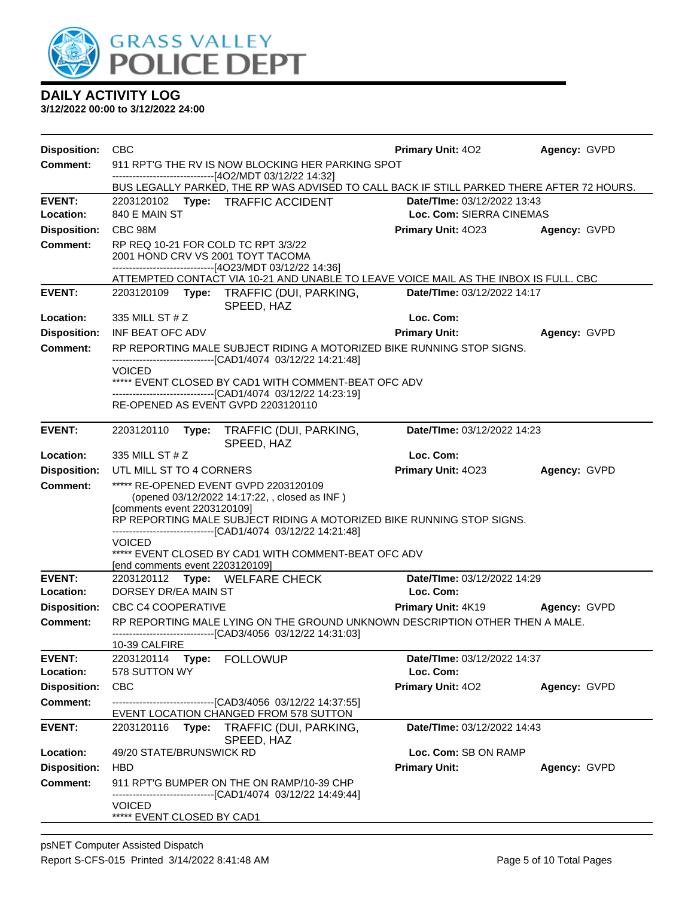

| <b>Disposition:</b>                    | <b>CBC</b>                                                                                                                                      | <b>Primary Unit: 402</b>    | Agency: GVPD |  |  |  |  |
|----------------------------------------|-------------------------------------------------------------------------------------------------------------------------------------------------|-----------------------------|--------------|--|--|--|--|
| <b>Comment:</b>                        | 911 RPT'G THE RV IS NOW BLOCKING HER PARKING SPOT                                                                                               |                             |              |  |  |  |  |
|                                        | --------------------------[4O2/MDT 03/12/22 14:32]<br>BUS LEGALLY PARKED, THE RP WAS ADVISED TO CALL BACK IF STILL PARKED THERE AFTER 72 HOURS. |                             |              |  |  |  |  |
| <b>EVENT:</b>                          | 2203120102 Type: TRAFFIC ACCIDENT                                                                                                               | Date/TIme: 03/12/2022 13:43 |              |  |  |  |  |
| Location:                              | 840 E MAIN ST                                                                                                                                   | Loc. Com: SIERRA CINEMAS    |              |  |  |  |  |
| <b>Disposition:</b>                    | CBC 98M                                                                                                                                         | <b>Primary Unit: 4023</b>   | Agency: GVPD |  |  |  |  |
| <b>Comment:</b>                        | RP REQ 10-21 FOR COLD TC RPT 3/3/22<br>2001 HOND CRV VS 2001 TOYT TACOMA                                                                        |                             |              |  |  |  |  |
|                                        | ------------------------------[4O23/MDT 03/12/22 14:36]                                                                                         |                             |              |  |  |  |  |
|                                        | ATTEMPTED CONTACT VIA 10-21 AND UNABLE TO LEAVE VOICE MAIL AS THE INBOX IS FULL. CBC                                                            |                             |              |  |  |  |  |
| <b>EVENT:</b>                          | 2203120109 Type: TRAFFIC (DUI, PARKING,<br>SPEED, HAZ                                                                                           | Date/TIme: 03/12/2022 14:17 |              |  |  |  |  |
| Location:                              | 335 MILL ST # Z                                                                                                                                 | Loc. Com:                   |              |  |  |  |  |
| <b>Disposition:</b>                    | INF BEAT OFC ADV                                                                                                                                | <b>Primary Unit:</b>        | Agency: GVPD |  |  |  |  |
| <b>Comment:</b>                        | RP REPORTING MALE SUBJECT RIDING A MOTORIZED BIKE RUNNING STOP SIGNS.<br>-------------------------------[CAD1/4074_03/12/22 14:21:48]           |                             |              |  |  |  |  |
|                                        | <b>VOICED</b><br>***** EVENT CLOSED BY CAD1 WITH COMMENT-BEAT OFC ADV                                                                           |                             |              |  |  |  |  |
|                                        | -------------------------------[CAD1/4074 03/12/22 14:23:19]                                                                                    |                             |              |  |  |  |  |
|                                        | RE-OPENED AS EVENT GVPD 2203120110                                                                                                              |                             |              |  |  |  |  |
| <b>EVENT:</b>                          | 2203120110<br>Type:<br>TRAFFIC (DUI, PARKING,<br>SPEED, HAZ                                                                                     | Date/TIme: 03/12/2022 14:23 |              |  |  |  |  |
| Location:                              | 335 MILL ST # Z                                                                                                                                 | Loc. Com:                   |              |  |  |  |  |
| <b>Disposition:</b>                    | UTL MILL ST TO 4 CORNERS                                                                                                                        | Primary Unit: 4023          | Agency: GVPD |  |  |  |  |
| <b>Comment:</b>                        | ***** RE-OPENED EVENT GVPD 2203120109                                                                                                           |                             |              |  |  |  |  |
|                                        | (opened 03/12/2022 14:17:22, , closed as INF)                                                                                                   |                             |              |  |  |  |  |
|                                        | [comments event 2203120109]<br>RP REPORTING MALE SUBJECT RIDING A MOTORIZED BIKE RUNNING STOP SIGNS.                                            |                             |              |  |  |  |  |
|                                        | ------------------------------[CAD1/4074_03/12/22 14:21:48]                                                                                     |                             |              |  |  |  |  |
|                                        | <b>VOICED</b><br>***** EVENT CLOSED BY CAD1 WITH COMMENT-BEAT OFC ADV                                                                           |                             |              |  |  |  |  |
|                                        | [end comments event 2203120109]                                                                                                                 |                             |              |  |  |  |  |
| <b>EVENT:</b>                          | 2203120112 Type: WELFARE CHECK                                                                                                                  | Date/TIme: 03/12/2022 14:29 |              |  |  |  |  |
| Location:                              | DORSEY DR/EA MAIN ST                                                                                                                            | Loc. Com:                   |              |  |  |  |  |
| <b>Disposition:</b>                    | <b>CBC C4 COOPERATIVE</b>                                                                                                                       | <b>Primary Unit: 4K19</b>   | Agency: GVPD |  |  |  |  |
| <b>Comment:</b>                        | RP REPORTING MALE LYING ON THE GROUND UNKNOWN DESCRIPTION OTHER THEN A MALE.<br>-------------------------------[CAD3/4056 03/12/22 14:31:03]    |                             |              |  |  |  |  |
|                                        | 10-39 CALFIRE                                                                                                                                   |                             |              |  |  |  |  |
| <b>EVENT:</b>                          | 2203120114 Type: FOLLOWUP                                                                                                                       | Date/TIme: 03/12/2022 14:37 |              |  |  |  |  |
| Location:                              | 578 SUTTON WY                                                                                                                                   | Loc. Com:                   |              |  |  |  |  |
| <b>Disposition:</b><br><b>Comment:</b> | <b>CBC</b><br>--------------------------------[CAD3/4056 03/12/22 14:37:55]                                                                     | Primary Unit: 402           | Agency: GVPD |  |  |  |  |
|                                        | EVENT LOCATION CHANGED FROM 578 SUTTON                                                                                                          |                             |              |  |  |  |  |
| <b>EVENT:</b>                          | Type: TRAFFIC (DUI, PARKING,<br>2203120116<br>SPEED, HAZ                                                                                        | Date/TIme: 03/12/2022 14:43 |              |  |  |  |  |
| Location:                              | 49/20 STATE/BRUNSWICK RD                                                                                                                        | Loc. Com: SB ON RAMP        |              |  |  |  |  |
| <b>Disposition:</b>                    | <b>HBD</b>                                                                                                                                      | <b>Primary Unit:</b>        | Agency: GVPD |  |  |  |  |
| Comment:                               | 911 RPT'G BUMPER ON THE ON RAMP/10-39 CHP                                                                                                       |                             |              |  |  |  |  |
|                                        | -----------------------[CAD1/4074_03/12/22 14:49:44]<br><b>VOICED</b>                                                                           |                             |              |  |  |  |  |
|                                        | ***** EVENT CLOSED BY CAD1                                                                                                                      |                             |              |  |  |  |  |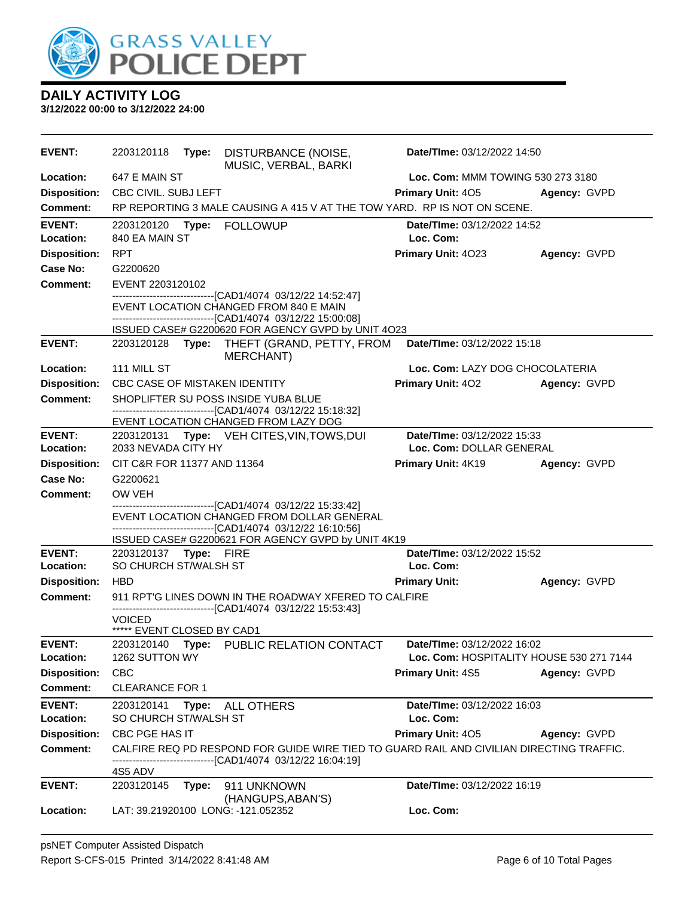

| <b>EVENT:</b>              | 2203120118                                         | Type: | DISTURBANCE (NOISE,<br>MUSIC, VERBAL, BARKI                                                                                                                  | Date/TIme: 03/12/2022 14:50                             |              |  |
|----------------------------|----------------------------------------------------|-------|--------------------------------------------------------------------------------------------------------------------------------------------------------------|---------------------------------------------------------|--------------|--|
| Location:                  | 647 E MAIN ST                                      |       |                                                                                                                                                              | Loc. Com: MMM TOWING 530 273 3180                       |              |  |
| <b>Disposition:</b>        | CBC CIVIL. SUBJ LEFT                               |       |                                                                                                                                                              | Primary Unit: 405                                       | Agency: GVPD |  |
| <b>Comment:</b>            |                                                    |       | RP REPORTING 3 MALE CAUSING A 415 V AT THE TOW YARD. RP IS NOT ON SCENE.                                                                                     |                                                         |              |  |
| <b>EVENT:</b><br>Location: | 2203120120<br>840 EA MAIN ST                       | Type: | <b>FOLLOWUP</b>                                                                                                                                              | Date/TIme: 03/12/2022 14:52<br>Loc. Com:                |              |  |
| <b>Disposition:</b>        | <b>RPT</b>                                         |       |                                                                                                                                                              | Primary Unit: 4023                                      | Agency: GVPD |  |
| Case No:                   | G2200620                                           |       |                                                                                                                                                              |                                                         |              |  |
| <b>Comment:</b>            | EVENT 2203120102                                   |       |                                                                                                                                                              |                                                         |              |  |
|                            |                                                    |       | -------------------------------[CAD1/4074_03/12/22 14:52:47]                                                                                                 |                                                         |              |  |
|                            |                                                    |       | EVENT LOCATION CHANGED FROM 840 E MAIN<br>-------------------------------[CAD1/4074 03/12/22 15:00:08]<br>ISSUED CASE# G2200620 FOR AGENCY GVPD by UNIT 4O23 |                                                         |              |  |
| <b>EVENT:</b>              |                                                    |       | 2203120128 Type: THEFT (GRAND, PETTY, FROM                                                                                                                   | Date/TIme: 03/12/2022 15:18                             |              |  |
| Location:                  | 111 MILL ST                                        |       | <b>MERCHANT)</b>                                                                                                                                             | Loc. Com: LAZY DOG CHOCOLATERIA                         |              |  |
| <b>Disposition:</b>        |                                                    |       | <b>CBC CASE OF MISTAKEN IDENTITY</b>                                                                                                                         | <b>Primary Unit: 402</b>                                | Agency: GVPD |  |
| <b>Comment:</b>            |                                                    |       | SHOPLIFTER SU POSS INSIDE YUBA BLUE                                                                                                                          |                                                         |              |  |
|                            |                                                    |       | --------------------------------[CAD1/4074 03/12/22 15:18:32]                                                                                                |                                                         |              |  |
|                            |                                                    |       | EVENT LOCATION CHANGED FROM LAZY DOG                                                                                                                         |                                                         |              |  |
| <b>EVENT:</b><br>Location: |                                                    |       | 2203120131 Type: VEH CITES, VIN, TOWS, DUI                                                                                                                   | Date/TIme: 03/12/2022 15:33<br>Loc. Com: DOLLAR GENERAL |              |  |
| <b>Disposition:</b>        | 2033 NEVADA CITY HY<br>CIT C&R FOR 11377 AND 11364 |       |                                                                                                                                                              | Primary Unit: 4K19                                      | Agency: GVPD |  |
| Case No:                   | G2200621                                           |       |                                                                                                                                                              |                                                         |              |  |
| <b>Comment:</b>            | OW VEH                                             |       |                                                                                                                                                              |                                                         |              |  |
|                            |                                                    |       | ------------------------------[CAD1/4074 03/12/22 15:33:42]                                                                                                  |                                                         |              |  |
|                            |                                                    |       | EVENT LOCATION CHANGED FROM DOLLAR GENERAL                                                                                                                   |                                                         |              |  |
|                            |                                                    |       | ------------------------[CAD1/4074_03/12/22 16:10:56]<br>ISSUED CASE# G2200621 FOR AGENCY GVPD by UNIT 4K19                                                  |                                                         |              |  |
| <b>EVENT:</b>              | 2203120137 Type: FIRE                              |       |                                                                                                                                                              | Date/TIme: 03/12/2022 15:52                             |              |  |
| Location:                  | SO CHURCH ST/WALSH ST                              |       |                                                                                                                                                              | Loc. Com:                                               |              |  |
| <b>Disposition:</b>        | <b>HBD</b>                                         |       |                                                                                                                                                              | <b>Primary Unit:</b>                                    | Agency: GVPD |  |
| <b>Comment:</b>            |                                                    |       | 911 RPT'G LINES DOWN IN THE ROADWAY XFERED TO CALFIRE                                                                                                        |                                                         |              |  |
|                            | <b>VOICED</b>                                      |       | ------------------------------[CAD1/4074 03/12/22 15:53:43]                                                                                                  |                                                         |              |  |
|                            | ***** EVENT CLOSED BY CAD1                         |       |                                                                                                                                                              |                                                         |              |  |
| <b>EVENT:</b>              | 2203120140                                         |       | Type: PUBLIC RELATION CONTACT                                                                                                                                | Date/TIme: 03/12/2022 16:02                             |              |  |
| Location:                  | 1262 SUTTON WY                                     |       |                                                                                                                                                              | Loc. Com: HOSPITALITY HOUSE 530 271 7144                |              |  |
| <b>Disposition:</b>        | <b>CBC</b>                                         |       |                                                                                                                                                              | Primary Unit: 4S5                                       | Agency: GVPD |  |
| <b>Comment:</b>            | <b>CLEARANCE FOR 1</b>                             |       |                                                                                                                                                              |                                                         |              |  |
| <b>EVENT:</b>              | 2203120141                                         | Type: | ALL OTHERS                                                                                                                                                   | Date/TIme: 03/12/2022 16:03                             |              |  |
| Location:                  | SO CHURCH ST/WALSH ST                              |       |                                                                                                                                                              | Loc. Com:                                               |              |  |
| <b>Disposition:</b>        | CBC PGE HAS IT                                     |       |                                                                                                                                                              | <b>Primary Unit: 405</b>                                | Agency: GVPD |  |
| <b>Comment:</b>            |                                                    |       | CALFIRE REQ PD RESPOND FOR GUIDE WIRE TIED TO GUARD RAIL AND CIVILIAN DIRECTING TRAFFIC.<br>------------------------------[CAD1/4074_03/12/22 16:04:19]      |                                                         |              |  |
|                            | 4S5 ADV                                            |       |                                                                                                                                                              |                                                         |              |  |
| <b>EVENT:</b>              | 2203120145                                         | Type: | 911 UNKNOWN<br>(HANGUPS, ABAN'S)                                                                                                                             | Date/TIme: 03/12/2022 16:19                             |              |  |
| Location:                  |                                                    |       | LAT: 39.21920100 LONG: -121.052352                                                                                                                           | Loc. Com:                                               |              |  |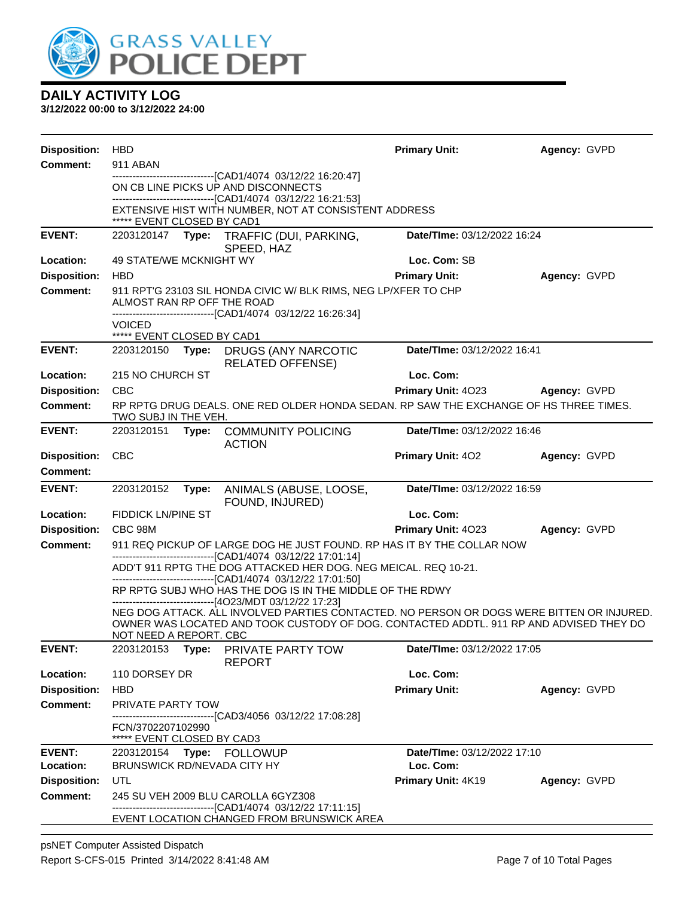

| <b>Disposition:</b>             | <b>HBD</b>                                                                                                    |       |                                                                                                                                                                                                                                                | <b>Primary Unit:</b>        | Agency: GVPD |
|---------------------------------|---------------------------------------------------------------------------------------------------------------|-------|------------------------------------------------------------------------------------------------------------------------------------------------------------------------------------------------------------------------------------------------|-----------------------------|--------------|
| <b>Comment:</b>                 | 911 ABAN                                                                                                      |       | -------------------------------[CAD1/4074 03/12/22 16:20:47]                                                                                                                                                                                   |                             |              |
|                                 |                                                                                                               |       | ON CB LINE PICKS UP AND DISCONNECTS                                                                                                                                                                                                            |                             |              |
|                                 | ***** EVENT CLOSED BY CAD1                                                                                    |       | -------------------------------[CAD1/4074_03/12/22 16:21:53]<br>EXTENSIVE HIST WITH NUMBER, NOT AT CONSISTENT ADDRESS                                                                                                                          |                             |              |
| <b>EVENT:</b>                   |                                                                                                               |       | 2203120147 Type: TRAFFIC (DUI, PARKING,                                                                                                                                                                                                        | Date/TIme: 03/12/2022 16:24 |              |
|                                 |                                                                                                               |       | SPEED, HAZ                                                                                                                                                                                                                                     |                             |              |
| Location:                       | 49 STATE/WE MCKNIGHT WY                                                                                       |       |                                                                                                                                                                                                                                                | Loc. Com: SB                |              |
| <b>Disposition:</b>             | <b>HBD</b>                                                                                                    |       |                                                                                                                                                                                                                                                | <b>Primary Unit:</b>        | Agency: GVPD |
| <b>Comment:</b>                 | ALMOST RAN RP OFF THE ROAD                                                                                    |       | 911 RPT'G 23103 SIL HONDA CIVIC W/ BLK RIMS, NEG LP/XFER TO CHP<br>-------------------------------[CAD1/4074 03/12/22 16:26:34]                                                                                                                |                             |              |
|                                 | <b>VOICED</b>                                                                                                 |       |                                                                                                                                                                                                                                                |                             |              |
|                                 | ***** EVENT CLOSED BY CAD1                                                                                    |       |                                                                                                                                                                                                                                                |                             |              |
| <b>EVENT:</b>                   | 2203120150                                                                                                    |       | <b>Type: DRUGS (ANY NARCOTIC</b><br><b>RELATED OFFENSE)</b>                                                                                                                                                                                    | Date/TIme: 03/12/2022 16:41 |              |
| Location:                       | 215 NO CHURCH ST                                                                                              |       |                                                                                                                                                                                                                                                | Loc. Com:                   |              |
| <b>Disposition:</b>             | <b>CBC</b>                                                                                                    |       |                                                                                                                                                                                                                                                | Primary Unit: 4023          | Agency: GVPD |
| <b>Comment:</b>                 | RP RPTG DRUG DEALS. ONE RED OLDER HONDA SEDAN. RP SAW THE EXCHANGE OF HS THREE TIMES.<br>TWO SUBJ IN THE VEH. |       |                                                                                                                                                                                                                                                |                             |              |
| <b>EVENT:</b>                   | 2203120151                                                                                                    | Type: | <b>COMMUNITY POLICING</b><br><b>ACTION</b>                                                                                                                                                                                                     | Date/TIme: 03/12/2022 16:46 |              |
| <b>Disposition:</b><br>Comment: | <b>CBC</b>                                                                                                    |       |                                                                                                                                                                                                                                                | <b>Primary Unit: 402</b>    | Agency: GVPD |
| <b>EVENT:</b>                   | 2203120152                                                                                                    |       | Type: ANIMALS (ABUSE, LOOSE,                                                                                                                                                                                                                   | Date/TIme: 03/12/2022 16:59 |              |
|                                 |                                                                                                               |       | FOUND, INJURED)                                                                                                                                                                                                                                |                             |              |
| Location:                       | <b>FIDDICK LN/PINE ST</b>                                                                                     |       |                                                                                                                                                                                                                                                | Loc. Com:                   |              |
| <b>Disposition:</b>             | <b>CBC 98M</b>                                                                                                |       |                                                                                                                                                                                                                                                | Primary Unit: 4023          | Agency: GVPD |
| <b>Comment:</b>                 |                                                                                                               |       | 911 REQ PICKUP OF LARGE DOG HE JUST FOUND. RP HAS IT BY THE COLLAR NOW                                                                                                                                                                         |                             |              |
|                                 |                                                                                                               |       | -------------------------------[CAD1/4074 03/12/22 17:01:14]<br>ADD'T 911 RPTG THE DOG ATTACKED HER DOG. NEG MEICAL. REQ 10-21.<br>--------------------------------[CAD1/4074 03/12/22 17:01:50]                                               |                             |              |
|                                 |                                                                                                               |       | RP RPTG SUBJ WHO HAS THE DOG IS IN THE MIDDLE OF THE RDWY                                                                                                                                                                                      |                             |              |
|                                 |                                                                                                               |       | ------------------------------[4O23/MDT 03/12/22 17:23]<br>NEG DOG ATTACK. ALL INVOLVED PARTIES CONTACTED. NO PERSON OR DOGS WERE BITTEN OR INJURED.<br>OWNER WAS LOCATED AND TOOK CUSTODY OF DOG. CONTACTED ADDTL. 911 RP AND ADVISED THEY DO |                             |              |
| <b>EVENT:</b>                   | NOT NEED A REPORT. CBC                                                                                        |       | Type: PRIVATE PARTY TOW                                                                                                                                                                                                                        | Date/TIme: 03/12/2022 17:05 |              |
|                                 | 2203120153                                                                                                    |       | <b>REPORT</b>                                                                                                                                                                                                                                  |                             |              |
| Location:                       | 110 DORSEY DR                                                                                                 |       |                                                                                                                                                                                                                                                | Loc. Com:                   |              |
| <b>Disposition:</b>             | HBD                                                                                                           |       |                                                                                                                                                                                                                                                | <b>Primary Unit:</b>        | Agency: GVPD |
| <b>Comment:</b>                 | PRIVATE PARTY TOW                                                                                             |       |                                                                                                                                                                                                                                                |                             |              |
|                                 | FCN/3702207102990<br>***** EVENT CLOSED BY CAD3                                                               |       | -------------------------------[CAD3/4056 03/12/22 17:08:28]                                                                                                                                                                                   |                             |              |
| <b>EVENT:</b>                   | 2203120154 Type: FOLLOWUP                                                                                     |       |                                                                                                                                                                                                                                                | Date/TIme: 03/12/2022 17:10 |              |
| Location:                       | <b>BRUNSWICK RD/NEVADA CITY HY</b>                                                                            |       |                                                                                                                                                                                                                                                | Loc. Com:                   |              |
| <b>Disposition:</b>             | UTL                                                                                                           |       |                                                                                                                                                                                                                                                | Primary Unit: 4K19          | Agency: GVPD |
| <b>Comment:</b>                 |                                                                                                               |       | 245 SU VEH 2009 BLU CAROLLA 6GYZ308<br>-------------------------------[CAD1/4074 03/12/22 17:11:15]                                                                                                                                            |                             |              |
|                                 |                                                                                                               |       | EVENT LOCATION CHANGED FROM BRUNSWICK AREA                                                                                                                                                                                                     |                             |              |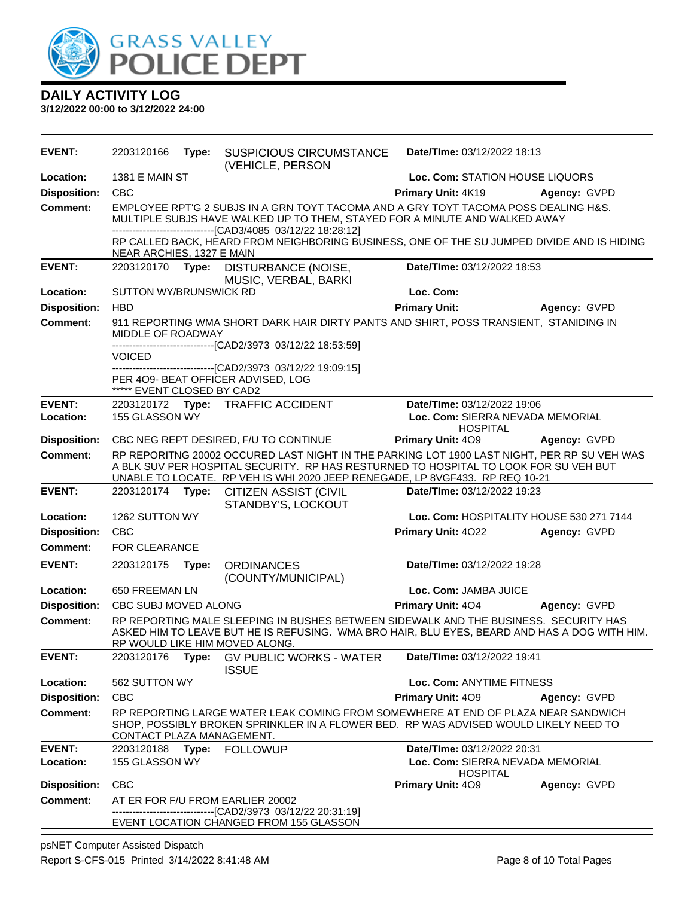

| <b>EVENT:</b>       | 2203120166                 | Type: | SUSPICIOUS CIRCUMSTANCE<br>(VEHICLE, PERSON                                                                                                                                                                                                                         | Date/Time: 03/12/2022 18:13                         |              |  |
|---------------------|----------------------------|-------|---------------------------------------------------------------------------------------------------------------------------------------------------------------------------------------------------------------------------------------------------------------------|-----------------------------------------------------|--------------|--|
| Location:           | <b>1381 E MAIN ST</b>      |       |                                                                                                                                                                                                                                                                     | Loc. Com: STATION HOUSE LIQUORS                     |              |  |
| <b>Disposition:</b> | <b>CBC</b>                 |       |                                                                                                                                                                                                                                                                     | Primary Unit: 4K19                                  | Agency: GVPD |  |
| <b>Comment:</b>     |                            |       | EMPLOYEE RPT'G 2 SUBJS IN A GRN TOYT TACOMA AND A GRY TOYT TACOMA POSS DEALING H&S.<br>MULTIPLE SUBJS HAVE WALKED UP TO THEM, STAYED FOR A MINUTE AND WALKED AWAY                                                                                                   |                                                     |              |  |
|                     | NEAR ARCHIES, 1327 E MAIN  |       | -------------------------------[CAD3/4085 03/12/22 18:28:12]<br>RP CALLED BACK, HEARD FROM NEIGHBORING BUSINESS, ONE OF THE SU JUMPED DIVIDE AND IS HIDING                                                                                                          |                                                     |              |  |
| <b>EVENT:</b>       |                            |       | 2203120170 Type: DISTURBANCE (NOISE,<br>MUSIC, VERBAL, BARKI                                                                                                                                                                                                        | Date/TIme: 03/12/2022 18:53                         |              |  |
| Location:           | SUTTON WY/BRUNSWICK RD     |       |                                                                                                                                                                                                                                                                     | Loc. Com:                                           |              |  |
| <b>Disposition:</b> | <b>HBD</b>                 |       |                                                                                                                                                                                                                                                                     | <b>Primary Unit:</b>                                | Agency: GVPD |  |
| <b>Comment:</b>     | MIDDLE OF ROADWAY          |       | 911 REPORTING WMA SHORT DARK HAIR DIRTY PANTS AND SHIRT, POSS TRANSIENT, STANIDING IN<br>-------------------------------[CAD2/3973 03/12/22 18:53:59]                                                                                                               |                                                     |              |  |
|                     | VOICED                     |       |                                                                                                                                                                                                                                                                     |                                                     |              |  |
|                     | ***** EVENT CLOSED BY CAD2 |       | -------------------------------[CAD2/3973_03/12/22_19:09:15]<br>PER 409- BEAT OFFICER ADVISED, LOG                                                                                                                                                                  |                                                     |              |  |
| <b>EVENT:</b>       |                            |       | 2203120172 Type: TRAFFIC ACCIDENT                                                                                                                                                                                                                                   | Date/TIme: 03/12/2022 19:06                         |              |  |
| Location:           | 155 GLASSON WY             |       |                                                                                                                                                                                                                                                                     | Loc. Com: SIERRA NEVADA MEMORIAL<br><b>HOSPITAL</b> |              |  |
| <b>Disposition:</b> |                            |       | CBC NEG REPT DESIRED, F/U TO CONTINUE                                                                                                                                                                                                                               | Primary Unit: 409                                   | Agency: GVPD |  |
| Comment:            |                            |       | RP REPORITNG 20002 OCCURED LAST NIGHT IN THE PARKING LOT 1900 LAST NIGHT, PER RP SU VEH WAS<br>A BLK SUV PER HOSPITAL SECURITY. RP HAS RESTURNED TO HOSPITAL TO LOOK FOR SU VEH BUT<br>UNABLE TO LOCATE. RP VEH IS WHI 2020 JEEP RENEGADE, LP 8VGF433. RP REQ 10-21 |                                                     |              |  |
| <b>EVENT:</b>       | 2203120174                 | Type: | <b>CITIZEN ASSIST (CIVIL</b><br>STANDBY'S, LOCKOUT                                                                                                                                                                                                                  | Date/TIme: 03/12/2022 19:23                         |              |  |
| Location:           | 1262 SUTTON WY             |       |                                                                                                                                                                                                                                                                     | Loc. Com: HOSPITALITY HOUSE 530 271 7144            |              |  |
| <b>Disposition:</b> | <b>CBC</b>                 |       |                                                                                                                                                                                                                                                                     | Primary Unit: 4022                                  | Agency: GVPD |  |
| <b>Comment:</b>     | FOR CLEARANCE              |       |                                                                                                                                                                                                                                                                     |                                                     |              |  |
| <b>EVENT:</b>       | 2203120175                 | Type: | <b>ORDINANCES</b><br>(COUNTY/MUNICIPAL)                                                                                                                                                                                                                             | Date/TIme: 03/12/2022 19:28                         |              |  |
| Location:           | 650 FREEMAN LN             |       |                                                                                                                                                                                                                                                                     | Loc. Com: JAMBA JUICE                               |              |  |
| <b>Disposition:</b> | CBC SUBJ MOVED ALONG       |       |                                                                                                                                                                                                                                                                     | <b>Primary Unit: 404</b>                            | Agency: GVPD |  |
| <b>Comment:</b>     |                            |       | RP REPORTING MALE SLEEPING IN BUSHES BETWEEN SIDEWALK AND THE BUSINESS. SECURITY HAS<br>ASKED HIM TO LEAVE BUT HE IS REFUSING. WMA BRO HAIR, BLU EYES, BEARD AND HAS A DOG WITH HIM.<br>RP WOULD LIKE HIM MOVED ALONG.                                              |                                                     |              |  |
| <b>EVENT:</b>       | 2203120176                 | Type: | <b>GV PUBLIC WORKS - WATER</b><br><b>ISSUE</b>                                                                                                                                                                                                                      | Date/TIme: 03/12/2022 19:41                         |              |  |
| Location:           | 562 SUTTON WY              |       |                                                                                                                                                                                                                                                                     | Loc. Com: ANYTIME FITNESS                           |              |  |
| <b>Disposition:</b> | <b>CBC</b>                 |       |                                                                                                                                                                                                                                                                     | <b>Primary Unit: 409</b>                            | Agency: GVPD |  |
| <b>Comment:</b>     | CONTACT PLAZA MANAGEMENT.  |       | RP REPORTING LARGE WATER LEAK COMING FROM SOMEWHERE AT END OF PLAZA NEAR SANDWICH<br>SHOP, POSSIBLY BROKEN SPRINKLER IN A FLOWER BED. RP WAS ADVISED WOULD LIKELY NEED TO                                                                                           |                                                     |              |  |
| <b>EVENT:</b>       | 2203120188                 | Type: | <b>FOLLOWUP</b>                                                                                                                                                                                                                                                     | Date/TIme: 03/12/2022 20:31                         |              |  |
| Location:           | 155 GLASSON WY             |       |                                                                                                                                                                                                                                                                     | Loc. Com: SIERRA NEVADA MEMORIAL<br><b>HOSPITAL</b> |              |  |
| <b>Disposition:</b> | <b>CBC</b>                 |       |                                                                                                                                                                                                                                                                     | Primary Unit: 409                                   | Agency: GVPD |  |
| <b>Comment:</b>     |                            |       | AT ER FOR F/U FROM EARLIER 20002<br>--------------------------[CAD2/3973_03/12/22_20:31:19]                                                                                                                                                                         |                                                     |              |  |
|                     |                            |       | EVENT LOCATION CHANGED FROM 155 GLASSON                                                                                                                                                                                                                             |                                                     |              |  |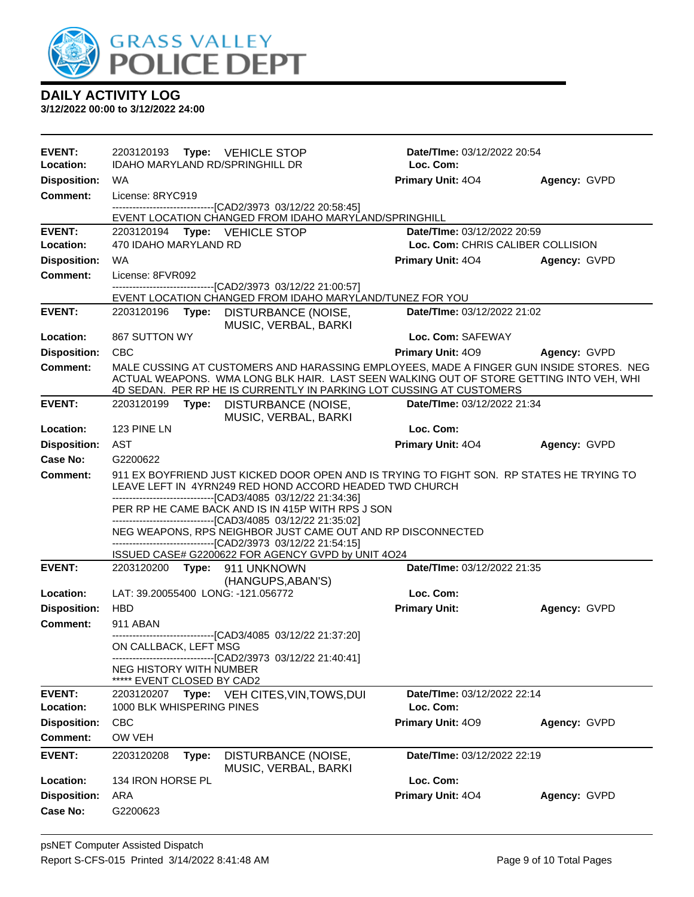

| <b>EVENT:</b><br>Location: | 2203120193 Type: VEHICLE STOP<br><b>IDAHO MARYLAND RD/SPRINGHILL DR</b>                                                                                                                                                                                                                                                                                                                                                                                                                                                         | Date/TIme: 03/12/2022 20:54<br>Loc. Com:                                |              |
|----------------------------|---------------------------------------------------------------------------------------------------------------------------------------------------------------------------------------------------------------------------------------------------------------------------------------------------------------------------------------------------------------------------------------------------------------------------------------------------------------------------------------------------------------------------------|-------------------------------------------------------------------------|--------------|
| <b>Disposition:</b>        | WA.                                                                                                                                                                                                                                                                                                                                                                                                                                                                                                                             | Primary Unit: 404                                                       | Agency: GVPD |
| <b>Comment:</b>            | License: 8RYC919                                                                                                                                                                                                                                                                                                                                                                                                                                                                                                                |                                                                         |              |
|                            | --------------------------------[CAD2/3973 03/12/22 20:58:45]                                                                                                                                                                                                                                                                                                                                                                                                                                                                   |                                                                         |              |
| <b>EVENT:</b>              | EVENT LOCATION CHANGED FROM IDAHO MARYLAND/SPRINGHILL                                                                                                                                                                                                                                                                                                                                                                                                                                                                           |                                                                         |              |
| Location:                  | 2203120194 Type: VEHICLE STOP<br>470 IDAHO MARYLAND RD                                                                                                                                                                                                                                                                                                                                                                                                                                                                          | <b>Date/Time: 03/12/2022 20:59</b><br>Loc. Com: CHRIS CALIBER COLLISION |              |
| <b>Disposition:</b>        | <b>WA</b>                                                                                                                                                                                                                                                                                                                                                                                                                                                                                                                       | <b>Primary Unit: 404</b>                                                | Agency: GVPD |
| <b>Comment:</b>            | License: 8FVR092                                                                                                                                                                                                                                                                                                                                                                                                                                                                                                                |                                                                         |              |
|                            | --------------------------------[CAD2/3973 03/12/22 21:00:57]                                                                                                                                                                                                                                                                                                                                                                                                                                                                   |                                                                         |              |
| <b>EVENT:</b>              | EVENT LOCATION CHANGED FROM IDAHO MARYLAND/TUNEZ FOR YOU<br>2203120196 <b>Type:</b><br>DISTURBANCE (NOISE,                                                                                                                                                                                                                                                                                                                                                                                                                      | Date/TIme: 03/12/2022 21:02                                             |              |
|                            | MUSIC, VERBAL, BARKI                                                                                                                                                                                                                                                                                                                                                                                                                                                                                                            |                                                                         |              |
| Location:                  | 867 SUTTON WY                                                                                                                                                                                                                                                                                                                                                                                                                                                                                                                   | Loc. Com: SAFEWAY                                                       |              |
| <b>Disposition:</b>        | <b>CBC</b>                                                                                                                                                                                                                                                                                                                                                                                                                                                                                                                      | Primary Unit: 409                                                       | Agency: GVPD |
| Comment:                   | MALE CUSSING AT CUSTOMERS AND HARASSING EMPLOYEES, MADE A FINGER GUN INSIDE STORES. NEG<br>ACTUAL WEAPONS. WMA LONG BLK HAIR. LAST SEEN WALKING OUT OF STORE GETTING INTO VEH, WHI<br>4D SEDAN. PER RP HE IS CURRENTLY IN PARKING LOT CUSSING AT CUSTOMERS                                                                                                                                                                                                                                                                      |                                                                         |              |
| <b>EVENT:</b>              | 2203120199 Type: DISTURBANCE (NOISE,<br>MUSIC, VERBAL, BARKI                                                                                                                                                                                                                                                                                                                                                                                                                                                                    | Date/TIme: 03/12/2022 21:34                                             |              |
| Location:                  | 123 PINE LN                                                                                                                                                                                                                                                                                                                                                                                                                                                                                                                     | Loc. Com:                                                               |              |
| <b>Disposition:</b>        | AST                                                                                                                                                                                                                                                                                                                                                                                                                                                                                                                             | <b>Primary Unit: 404</b>                                                | Agency: GVPD |
| <b>Case No:</b>            | G2200622                                                                                                                                                                                                                                                                                                                                                                                                                                                                                                                        |                                                                         |              |
| <b>Comment:</b>            | 911 EX BOYFRIEND JUST KICKED DOOR OPEN AND IS TRYING TO FIGHT SON. RP STATES HE TRYING TO<br>LEAVE LEFT IN 4YRN249 RED HOND ACCORD HEADED TWD CHURCH<br>--------------------------------[CAD3/4085 03/12/22 21:34:36]<br>PER RP HE CAME BACK AND IS IN 415P WITH RPS J SON<br>-------------------------------[CAD3/4085 03/12/22 21:35:02]<br>NEG WEAPONS, RPS NEIGHBOR JUST CAME OUT AND RP DISCONNECTED<br>-------------------------------[CAD2/3973_03/12/22 21:54:15]<br>ISSUED CASE# G2200622 FOR AGENCY GVPD by UNIT 4O24 |                                                                         |              |
| <b>EVENT:</b>              | 2203120200 Type: 911 UNKNOWN<br>(HANGUPS, ABAN'S)                                                                                                                                                                                                                                                                                                                                                                                                                                                                               | Date/TIme: 03/12/2022 21:35                                             |              |
| Location:                  | LAT: 39.20055400 LONG: -121.056772                                                                                                                                                                                                                                                                                                                                                                                                                                                                                              | Loc. Com:                                                               |              |
| <b>Disposition:</b>        | <b>HBD</b>                                                                                                                                                                                                                                                                                                                                                                                                                                                                                                                      | <b>Primary Unit:</b>                                                    | Agency: GVPD |
| Comment:                   | 911 ABAN                                                                                                                                                                                                                                                                                                                                                                                                                                                                                                                        |                                                                         |              |
|                            | -------------------------------[CAD3/4085_03/12/22_21:37:20]<br>ON CALLBACK, LEFT MSG                                                                                                                                                                                                                                                                                                                                                                                                                                           |                                                                         |              |
|                            | --------------------------------[CAD2/3973 03/12/22 21:40:41]<br>NEG HISTORY WITH NUMBER<br>EVENT CLOSED BY CAD2                                                                                                                                                                                                                                                                                                                                                                                                                |                                                                         |              |
| <b>EVENT:</b>              | Type: VEH CITES, VIN, TOWS, DUI<br>2203120207                                                                                                                                                                                                                                                                                                                                                                                                                                                                                   | Date/TIme: 03/12/2022 22:14                                             |              |
| <b>Location:</b>           | 1000 BLK WHISPERING PINES                                                                                                                                                                                                                                                                                                                                                                                                                                                                                                       | Loc. Com:                                                               |              |
| <b>Disposition:</b>        | <b>CBC</b>                                                                                                                                                                                                                                                                                                                                                                                                                                                                                                                      | Primary Unit: 409                                                       | Agency: GVPD |
| <b>Comment:</b>            | OW VEH                                                                                                                                                                                                                                                                                                                                                                                                                                                                                                                          |                                                                         |              |
| <b>EVENT:</b>              | 2203120208<br>Type:<br>DISTURBANCE (NOISE,<br>MUSIC, VERBAL, BARKI                                                                                                                                                                                                                                                                                                                                                                                                                                                              | Date/TIme: 03/12/2022 22:19                                             |              |
| Location:                  | 134 IRON HORSE PL                                                                                                                                                                                                                                                                                                                                                                                                                                                                                                               | Loc. Com:                                                               |              |
| <b>Disposition:</b>        | ARA                                                                                                                                                                                                                                                                                                                                                                                                                                                                                                                             | Primary Unit: 404                                                       | Agency: GVPD |
| Case No:                   | G2200623                                                                                                                                                                                                                                                                                                                                                                                                                                                                                                                        |                                                                         |              |